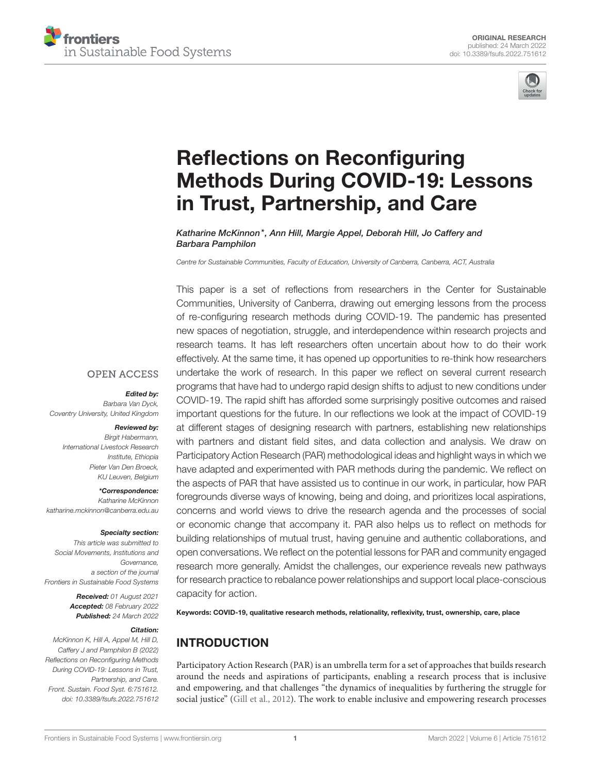



# Reflections on Reconfiguring [Methods During COVID-19: Lessons](https://www.frontiersin.org/articles/10.3389/fsufs.2022.751612/full) in Trust, Partnership, and Care

Katharine McKinnon\*, Ann Hill, Margie Appel, Deborah Hill, Jo Caffery and Barbara Pamphilon

*Centre for Sustainable Communities, Faculty of Education, University of Canberra, Canberra, ACT, Australia*

This paper is a set of reflections from researchers in the Center for Sustainable Communities, University of Canberra, drawing out emerging lessons from the process of re-configuring research methods during COVID-19. The pandemic has presented new spaces of negotiation, struggle, and interdependence within research projects and research teams. It has left researchers often uncertain about how to do their work effectively. At the same time, it has opened up opportunities to re-think how researchers undertake the work of research. In this paper we reflect on several current research programs that have had to undergo rapid design shifts to adjust to new conditions under COVID-19. The rapid shift has afforded some surprisingly positive outcomes and raised important questions for the future. In our reflections we look at the impact of COVID-19 at different stages of designing research with partners, establishing new relationships with partners and distant field sites, and data collection and analysis. We draw on Participatory Action Research (PAR) methodological ideas and highlight ways in which we have adapted and experimented with PAR methods during the pandemic. We reflect on the aspects of PAR that have assisted us to continue in our work, in particular, how PAR foregrounds diverse ways of knowing, being and doing, and prioritizes local aspirations, concerns and world views to drive the research agenda and the processes of social or economic change that accompany it. PAR also helps us to reflect on methods for building relationships of mutual trust, having genuine and authentic collaborations, and open conversations. We reflect on the potential lessons for PAR and community engaged research more generally. Amidst the challenges, our experience reveals new pathways for research practice to rebalance power relationships and support local place-conscious capacity for action.

Keywords: COVID-19, qualitative research methods, relationality, reflexivity, trust, ownership, care, place

# INTRODUCTION

Participatory Action Research (PAR) is an umbrella term for a set of approaches that builds research around the needs and aspirations of participants, enabling a research process that is inclusive and empowering, and that challenges "the dynamics of inequalities by furthering the struggle for social justice" [\(Gill et al., 2012\)](#page-9-0). The work to enable inclusive and empowering research processes

#### **OPEN ACCESS**

#### Edited by:

*Barbara Van Dyck, Coventry University, United Kingdom*

#### Reviewed by:

*Birgit Habermann, International Livestock Research Institute, Ethiopia Pieter Van Den Broeck, KU Leuven, Belgium*

\*Correspondence: *Katharine McKinnon [katharine.mckinnon@canberra.edu.au](mailto:katharine.mckinnon@canberra.edu.au)*

#### Specialty section:

*This article was submitted to Social Movements, Institutions and Governance, a section of the journal Frontiers in Sustainable Food Systems*

> Received: *01 August 2021* Accepted: *08 February 2022* Published: *24 March 2022*

#### Citation:

*McKinnon K, Hill A, Appel M, Hill D, Caffery J and Pamphilon B (2022) Reflections on Reconfiguring Methods During COVID-19: Lessons in Trust, Partnership, and Care. Front. Sustain. Food Syst. 6:751612. doi: [10.3389/fsufs.2022.751612](https://doi.org/10.3389/fsufs.2022.751612)*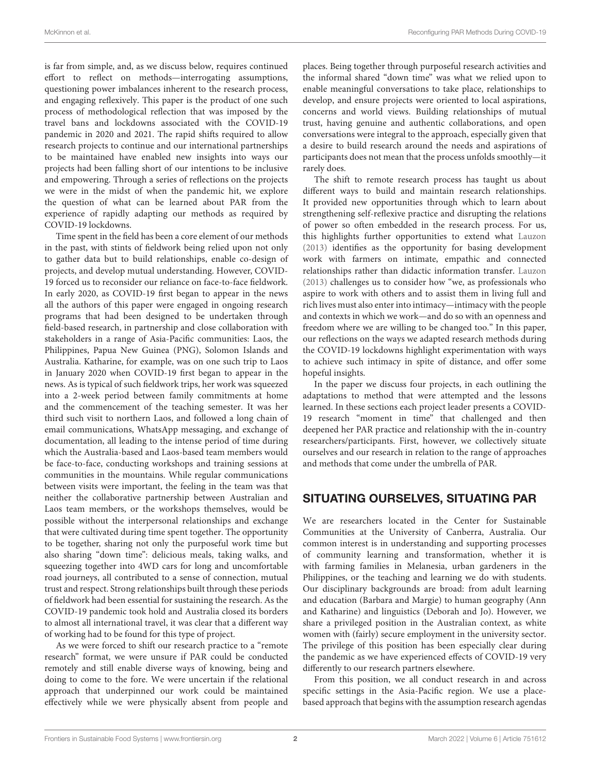is far from simple, and, as we discuss below, requires continued effort to reflect on methods—interrogating assumptions, questioning power imbalances inherent to the research process, and engaging reflexively. This paper is the product of one such process of methodological reflection that was imposed by the travel bans and lockdowns associated with the COVID-19 pandemic in 2020 and 2021. The rapid shifts required to allow research projects to continue and our international partnerships to be maintained have enabled new insights into ways our projects had been falling short of our intentions to be inclusive and empowering. Through a series of reflections on the projects we were in the midst of when the pandemic hit, we explore the question of what can be learned about PAR from the experience of rapidly adapting our methods as required by COVID-19 lockdowns.

Time spent in the field has been a core element of our methods in the past, with stints of fieldwork being relied upon not only to gather data but to build relationships, enable co-design of projects, and develop mutual understanding. However, COVID-19 forced us to reconsider our reliance on face-to-face fieldwork. In early 2020, as COVID-19 first began to appear in the news all the authors of this paper were engaged in ongoing research programs that had been designed to be undertaken through field-based research, in partnership and close collaboration with stakeholders in a range of Asia-Pacific communities: Laos, the Philippines, Papua New Guinea (PNG), Solomon Islands and Australia. Katharine, for example, was on one such trip to Laos in January 2020 when COVID-19 first began to appear in the news. As is typical of such fieldwork trips, her work was squeezed into a 2-week period between family commitments at home and the commencement of the teaching semester. It was her third such visit to northern Laos, and followed a long chain of email communications, WhatsApp messaging, and exchange of documentation, all leading to the intense period of time during which the Australia-based and Laos-based team members would be face-to-face, conducting workshops and training sessions at communities in the mountains. While regular communications between visits were important, the feeling in the team was that neither the collaborative partnership between Australian and Laos team members, or the workshops themselves, would be possible without the interpersonal relationships and exchange that were cultivated during time spent together. The opportunity to be together, sharing not only the purposeful work time but also sharing "down time": delicious meals, taking walks, and squeezing together into 4WD cars for long and uncomfortable road journeys, all contributed to a sense of connection, mutual trust and respect. Strong relationships built through these periods of fieldwork had been essential for sustaining the research. As the COVID-19 pandemic took hold and Australia closed its borders to almost all international travel, it was clear that a different way of working had to be found for this type of project.

As we were forced to shift our research practice to a "remote research" format, we were unsure if PAR could be conducted remotely and still enable diverse ways of knowing, being and doing to come to the fore. We were uncertain if the relational approach that underpinned our work could be maintained effectively while we were physically absent from people and places. Being together through purposeful research activities and the informal shared "down time" was what we relied upon to enable meaningful conversations to take place, relationships to develop, and ensure projects were oriented to local aspirations, concerns and world views. Building relationships of mutual trust, having genuine and authentic collaborations, and open conversations were integral to the approach, especially given that a desire to build research around the needs and aspirations of participants does not mean that the process unfolds smoothly—it rarely does.

The shift to remote research process has taught us about different ways to build and maintain research relationships. It provided new opportunities through which to learn about strengthening self-reflexive practice and disrupting the relations of power so often embedded in the research process. For us, this highlights further opportunities to extend what [Lauzon](#page-9-1) [\(2013\)](#page-9-1) identifies as the opportunity for basing development work with farmers on intimate, empathic and connected relationships rather than didactic information transfer. [Lauzon](#page-9-1) [\(2013\)](#page-9-1) challenges us to consider how "we, as professionals who aspire to work with others and to assist them in living full and rich lives must also enter into intimacy—intimacy with the people and contexts in which we work—and do so with an openness and freedom where we are willing to be changed too." In this paper, our reflections on the ways we adapted research methods during the COVID-19 lockdowns highlight experimentation with ways to achieve such intimacy in spite of distance, and offer some hopeful insights.

In the paper we discuss four projects, in each outlining the adaptations to method that were attempted and the lessons learned. In these sections each project leader presents a COVID-19 research "moment in time" that challenged and then deepened her PAR practice and relationship with the in-country researchers/participants. First, however, we collectively situate ourselves and our research in relation to the range of approaches and methods that come under the umbrella of PAR.

# SITUATING OURSELVES, SITUATING PAR

We are researchers located in the Center for Sustainable Communities at the University of Canberra, Australia. Our common interest is in understanding and supporting processes of community learning and transformation, whether it is with farming families in Melanesia, urban gardeners in the Philippines, or the teaching and learning we do with students. Our disciplinary backgrounds are broad: from adult learning and education (Barbara and Margie) to human geography (Ann and Katharine) and linguistics (Deborah and Jo). However, we share a privileged position in the Australian context, as white women with (fairly) secure employment in the university sector. The privilege of this position has been especially clear during the pandemic as we have experienced effects of COVID-19 very differently to our research partners elsewhere.

From this position, we all conduct research in and across specific settings in the Asia-Pacific region. We use a placebased approach that begins with the assumption research agendas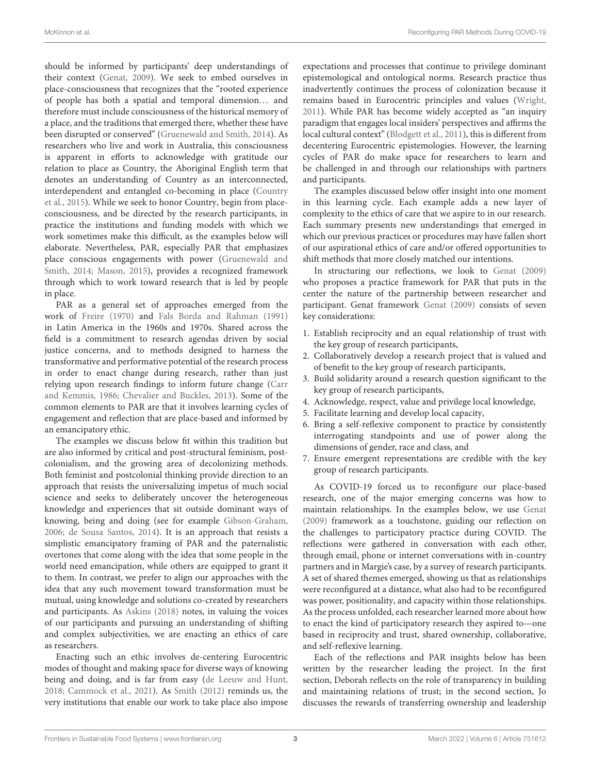should be informed by participants' deep understandings of their context [\(Genat, 2009\)](#page-9-2). We seek to embed ourselves in place-consciousness that recognizes that the "rooted experience of people has both a spatial and temporal dimension... and therefore must include consciousness of the historical memory of a place, and the traditions that emerged there, whether these have been disrupted or conserved" [\(Gruenewald and Smith, 2014\)](#page-9-3). As researchers who live and work in Australia, this consciousness is apparent in efforts to acknowledge with gratitude our relation to place as Country, the Aboriginal English term that denotes an understanding of Country as an interconnected, interdependent and entangled co-becoming in place (Country et al., [2015\)](#page-9-4). While we seek to honor Country, begin from placeconsciousness, and be directed by the research participants, in practice the institutions and funding models with which we work sometimes make this difficult, as the examples below will elaborate. Nevertheless, PAR, especially PAR that emphasizes place conscious engagements with power (Gruenewald and Smith, [2014;](#page-9-3) [Mason, 2015\)](#page-9-5), provides a recognized framework through which to work toward research that is led by people in place.

PAR as a general set of approaches emerged from the work of [Freire \(1970\)](#page-9-6) and [Fals Borda and Rahman \(1991\)](#page-9-7) in Latin America in the 1960s and 1970s. Shared across the field is a commitment to research agendas driven by social justice concerns, and to methods designed to harness the transformative and performative potential of the research process in order to enact change during research, rather than just relying upon research findings to inform future change (Carr and Kemmis, [1986;](#page-9-8) [Chevalier and Buckles, 2013\)](#page-9-9). Some of the common elements to PAR are that it involves learning cycles of engagement and reflection that are place-based and informed by an emancipatory ethic.

The examples we discuss below fit within this tradition but are also informed by critical and post-structural feminism, postcolonialism, and the growing area of decolonizing methods. Both feminist and postcolonial thinking provide direction to an approach that resists the universalizing impetus of much social science and seeks to deliberately uncover the heterogeneous knowledge and experiences that sit outside dominant ways of knowing, being and doing (see for example [Gibson-Graham,](#page-9-10) [2006;](#page-9-10) [de Sousa Santos, 2014\)](#page-10-0). It is an approach that resists a simplistic emancipatory framing of PAR and the paternalistic overtones that come along with the idea that some people in the world need emancipation, while others are equipped to grant it to them. In contrast, we prefer to align our approaches with the idea that any such movement toward transformation must be mutual, using knowledge and solutions co-created by researchers and participants. As [Askins \(2018\)](#page-9-11) notes, in valuing the voices of our participants and pursuing an understanding of shifting and complex subjectivities, we are enacting an ethics of care as researchers.

Enacting such an ethic involves de-centering Eurocentric modes of thought and making space for diverse ways of knowing being and doing, and is far from easy [\(de Leeuw and Hunt,](#page-9-12) [2018;](#page-9-12) [Cammock et al., 2021\)](#page-9-13). As [Smith \(2012\)](#page-10-1) reminds us, the very institutions that enable our work to take place also impose expectations and processes that continue to privilege dominant epistemological and ontological norms. Research practice thus inadvertently continues the process of colonization because it remains based in Eurocentric principles and values [\(Wright,](#page-10-2) [2011\)](#page-10-2). While PAR has become widely accepted as "an inquiry paradigm that engages local insiders' perspectives and affirms the local cultural context" [\(Blodgett et al., 2011\)](#page-9-14), this is different from decentering Eurocentric epistemologies. However, the learning cycles of PAR do make space for researchers to learn and be challenged in and through our relationships with partners and participants.

The examples discussed below offer insight into one moment in this learning cycle. Each example adds a new layer of complexity to the ethics of care that we aspire to in our research. Each summary presents new understandings that emerged in which our previous practices or procedures may have fallen short of our aspirational ethics of care and/or offered opportunities to shift methods that more closely matched our intentions.

In structuring our reflections, we look to [Genat \(2009\)](#page-9-2) who proposes a practice framework for PAR that puts in the center the nature of the partnership between researcher and participant. Genat framework [Genat \(2009\)](#page-9-2) consists of seven key considerations:

- 1. Establish reciprocity and an equal relationship of trust with the key group of research participants,
- 2. Collaboratively develop a research project that is valued and of benefit to the key group of research participants,
- 3. Build solidarity around a research question significant to the key group of research participants,
- 4. Acknowledge, respect, value and privilege local knowledge,
- 5. Facilitate learning and develop local capacity,
- 6. Bring a self-reflexive component to practice by consistently interrogating standpoints and use of power along the dimensions of gender, race and class, and
- 7. Ensure emergent representations are credible with the key group of research participants.

As COVID-19 forced us to reconfigure our place-based research, one of the major emerging concerns was how to maintain relationships. In the examples below, we use [Genat](#page-9-2) [\(2009\)](#page-9-2) framework as a touchstone, guiding our reflection on the challenges to participatory practice during COVID. The reflections were gathered in conversation with each other, through email, phone or internet conversations with in-country partners and in Margie's case, by a survey of research participants. A set of shared themes emerged, showing us that as relationships were reconfigured at a distance, what also had to be reconfigured was power, positionality, and capacity within those relationships. As the process unfolded, each researcher learned more about how to enact the kind of participatory research they aspired to—one based in reciprocity and trust, shared ownership, collaborative, and self-reflexive learning.

Each of the reflections and PAR insights below has been written by the researcher leading the project. In the first section, Deborah reflects on the role of transparency in building and maintaining relations of trust; in the second section, Jo discusses the rewards of transferring ownership and leadership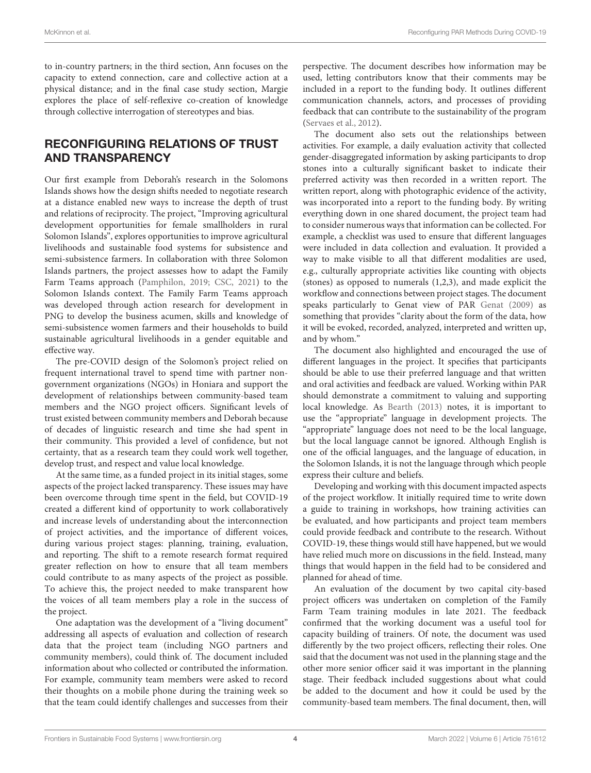to in-country partners; in the third section, Ann focuses on the capacity to extend connection, care and collective action at a physical distance; and in the final case study section, Margie explores the place of self-reflexive co-creation of knowledge through collective interrogation of stereotypes and bias.

# RECONFIGURING RELATIONS OF TRUST AND TRANSPARENCY

Our first example from Deborah's research in the Solomons Islands shows how the design shifts needed to negotiate research at a distance enabled new ways to increase the depth of trust and relations of reciprocity. The project, "Improving agricultural development opportunities for female smallholders in rural Solomon Islands", explores opportunities to improve agricultural livelihoods and sustainable food systems for subsistence and semi-subsistence farmers. In collaboration with three Solomon Islands partners, the project assesses how to adapt the Family Farm Teams approach [\(Pamphilon, 2019;](#page-9-15) [CSC, 2021\)](#page-9-16) to the Solomon Islands context. The Family Farm Teams approach was developed through action research for development in PNG to develop the business acumen, skills and knowledge of semi-subsistence women farmers and their households to build sustainable agricultural livelihoods in a gender equitable and effective way.

The pre-COVID design of the Solomon's project relied on frequent international travel to spend time with partner nongovernment organizations (NGOs) in Honiara and support the development of relationships between community-based team members and the NGO project officers. Significant levels of trust existed between community members and Deborah because of decades of linguistic research and time she had spent in their community. This provided a level of confidence, but not certainty, that as a research team they could work well together, develop trust, and respect and value local knowledge.

At the same time, as a funded project in its initial stages, some aspects of the project lacked transparency. These issues may have been overcome through time spent in the field, but COVID-19 created a different kind of opportunity to work collaboratively and increase levels of understanding about the interconnection of project activities, and the importance of different voices, during various project stages: planning, training, evaluation, and reporting. The shift to a remote research format required greater reflection on how to ensure that all team members could contribute to as many aspects of the project as possible. To achieve this, the project needed to make transparent how the voices of all team members play a role in the success of the project.

One adaptation was the development of a "living document" addressing all aspects of evaluation and collection of research data that the project team (including NGO partners and community members), could think of. The document included information about who collected or contributed the information. For example, community team members were asked to record their thoughts on a mobile phone during the training week so that the team could identify challenges and successes from their perspective. The document describes how information may be used, letting contributors know that their comments may be included in a report to the funding body. It outlines different communication channels, actors, and processes of providing feedback that can contribute to the sustainability of the program [\(Servaes et al., 2012\)](#page-10-3).

The document also sets out the relationships between activities. For example, a daily evaluation activity that collected gender-disaggregated information by asking participants to drop stones into a culturally significant basket to indicate their preferred activity was then recorded in a written report. The written report, along with photographic evidence of the activity, was incorporated into a report to the funding body. By writing everything down in one shared document, the project team had to consider numerous ways that information can be collected. For example, a checklist was used to ensure that different languages were included in data collection and evaluation. It provided a way to make visible to all that different modalities are used, e.g., culturally appropriate activities like counting with objects (stones) as opposed to numerals (1,2,3), and made explicit the workflow and connections between project stages. The document speaks particularly to Genat view of PAR [Genat \(2009\)](#page-9-2) as something that provides "clarity about the form of the data, how it will be evoked, recorded, analyzed, interpreted and written up, and by whom."

The document also highlighted and encouraged the use of different languages in the project. It specifies that participants should be able to use their preferred language and that written and oral activities and feedback are valued. Working within PAR should demonstrate a commitment to valuing and supporting local knowledge. As [Bearth \(2013\)](#page-9-17) notes, it is important to use the "appropriate" language in development projects. The "appropriate" language does not need to be the local language, but the local language cannot be ignored. Although English is one of the official languages, and the language of education, in the Solomon Islands, it is not the language through which people express their culture and beliefs.

Developing and working with this document impacted aspects of the project workflow. It initially required time to write down a guide to training in workshops, how training activities can be evaluated, and how participants and project team members could provide feedback and contribute to the research. Without COVID-19, these things would still have happened, but we would have relied much more on discussions in the field. Instead, many things that would happen in the field had to be considered and planned for ahead of time.

An evaluation of the document by two capital city-based project officers was undertaken on completion of the Family Farm Team training modules in late 2021. The feedback confirmed that the working document was a useful tool for capacity building of trainers. Of note, the document was used differently by the two project officers, reflecting their roles. One said that the document was not used in the planning stage and the other more senior officer said it was important in the planning stage. Their feedback included suggestions about what could be added to the document and how it could be used by the community-based team members. The final document, then, will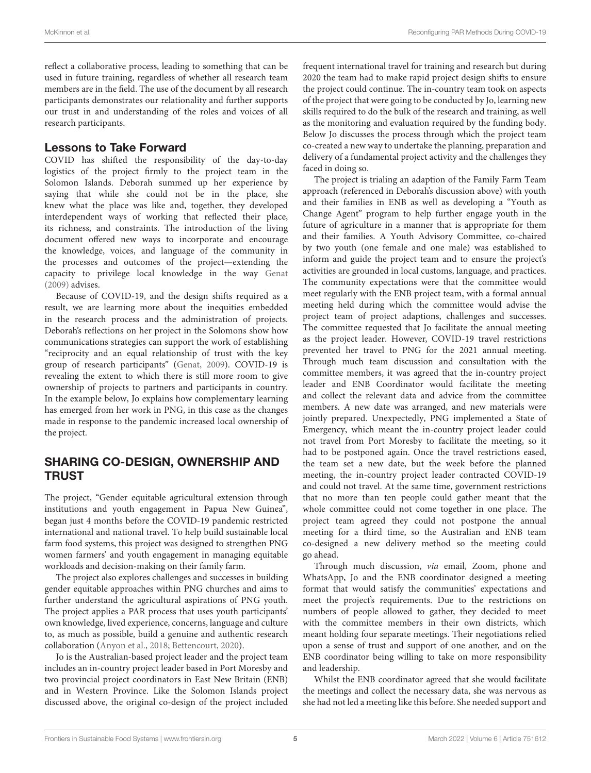reflect a collaborative process, leading to something that can be used in future training, regardless of whether all research team members are in the field. The use of the document by all research participants demonstrates our relationality and further supports our trust in and understanding of the roles and voices of all research participants.

#### Lessons to Take Forward

COVID has shifted the responsibility of the day-to-day logistics of the project firmly to the project team in the Solomon Islands. Deborah summed up her experience by saying that while she could not be in the place, she knew what the place was like and, together, they developed interdependent ways of working that reflected their place, its richness, and constraints. The introduction of the living document offered new ways to incorporate and encourage the knowledge, voices, and language of the community in the processes and outcomes of the project—extending the capacity to privilege local knowledge in the way [Genat](#page-9-2) [\(2009\)](#page-9-2) advises.

Because of COVID-19, and the design shifts required as a result, we are learning more about the inequities embedded in the research process and the administration of projects. Deborah's reflections on her project in the Solomons show how communications strategies can support the work of establishing "reciprocity and an equal relationship of trust with the key group of research participants" [\(Genat, 2009\)](#page-9-2). COVID-19 is revealing the extent to which there is still more room to give ownership of projects to partners and participants in country. In the example below, Jo explains how complementary learning has emerged from her work in PNG, in this case as the changes made in response to the pandemic increased local ownership of the project.

# SHARING CO-DESIGN, OWNERSHIP AND **TRUST**

The project, "Gender equitable agricultural extension through institutions and youth engagement in Papua New Guinea", began just 4 months before the COVID-19 pandemic restricted international and national travel. To help build sustainable local farm food systems, this project was designed to strengthen PNG women farmers' and youth engagement in managing equitable workloads and decision-making on their family farm.

The project also explores challenges and successes in building gender equitable approaches within PNG churches and aims to further understand the agricultural aspirations of PNG youth. The project applies a PAR process that uses youth participants' own knowledge, lived experience, concerns, language and culture to, as much as possible, build a genuine and authentic research collaboration [\(Anyon et al., 2018;](#page-9-18) [Bettencourt, 2020\)](#page-9-19).

Jo is the Australian-based project leader and the project team includes an in-country project leader based in Port Moresby and two provincial project coordinators in East New Britain (ENB) and in Western Province. Like the Solomon Islands project discussed above, the original co-design of the project included frequent international travel for training and research but during 2020 the team had to make rapid project design shifts to ensure the project could continue. The in-country team took on aspects of the project that were going to be conducted by Jo, learning new skills required to do the bulk of the research and training, as well as the monitoring and evaluation required by the funding body. Below Jo discusses the process through which the project team co-created a new way to undertake the planning, preparation and delivery of a fundamental project activity and the challenges they faced in doing so.

The project is trialing an adaption of the Family Farm Team approach (referenced in Deborah's discussion above) with youth and their families in ENB as well as developing a "Youth as Change Agent" program to help further engage youth in the future of agriculture in a manner that is appropriate for them and their families. A Youth Advisory Committee, co-chaired by two youth (one female and one male) was established to inform and guide the project team and to ensure the project's activities are grounded in local customs, language, and practices. The community expectations were that the committee would meet regularly with the ENB project team, with a formal annual meeting held during which the committee would advise the project team of project adaptions, challenges and successes. The committee requested that Jo facilitate the annual meeting as the project leader. However, COVID-19 travel restrictions prevented her travel to PNG for the 2021 annual meeting. Through much team discussion and consultation with the committee members, it was agreed that the in-country project leader and ENB Coordinator would facilitate the meeting and collect the relevant data and advice from the committee members. A new date was arranged, and new materials were jointly prepared. Unexpectedly, PNG implemented a State of Emergency, which meant the in-country project leader could not travel from Port Moresby to facilitate the meeting, so it had to be postponed again. Once the travel restrictions eased, the team set a new date, but the week before the planned meeting, the in-country project leader contracted COVID-19 and could not travel. At the same time, government restrictions that no more than ten people could gather meant that the whole committee could not come together in one place. The project team agreed they could not postpone the annual meeting for a third time, so the Australian and ENB team co-designed a new delivery method so the meeting could go ahead.

Through much discussion, via email, Zoom, phone and WhatsApp, Jo and the ENB coordinator designed a meeting format that would satisfy the communities' expectations and meet the project's requirements. Due to the restrictions on numbers of people allowed to gather, they decided to meet with the committee members in their own districts, which meant holding four separate meetings. Their negotiations relied upon a sense of trust and support of one another, and on the ENB coordinator being willing to take on more responsibility and leadership.

Whilst the ENB coordinator agreed that she would facilitate the meetings and collect the necessary data, she was nervous as she had not led a meeting like this before. She needed support and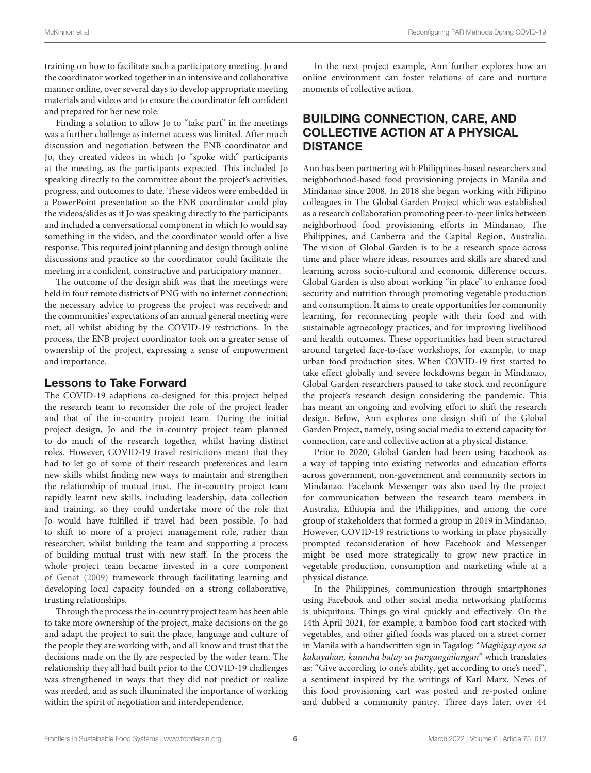training on how to facilitate such a participatory meeting. Jo and the coordinator worked together in an intensive and collaborative manner online, over several days to develop appropriate meeting materials and videos and to ensure the coordinator felt confident and prepared for her new role.

Finding a solution to allow Jo to "take part" in the meetings was a further challenge as internet access was limited. After much discussion and negotiation between the ENB coordinator and Jo, they created videos in which Jo "spoke with" participants at the meeting, as the participants expected. This included Jo speaking directly to the committee about the project's activities, progress, and outcomes to date. These videos were embedded in a PowerPoint presentation so the ENB coordinator could play the videos/slides as if Jo was speaking directly to the participants and included a conversational component in which Jo would say something in the video, and the coordinator would offer a live response. This required joint planning and design through online discussions and practice so the coordinator could facilitate the meeting in a confident, constructive and participatory manner.

The outcome of the design shift was that the meetings were held in four remote districts of PNG with no internet connection; the necessary advice to progress the project was received; and the communities' expectations of an annual general meeting were met, all whilst abiding by the COVID-19 restrictions. In the process, the ENB project coordinator took on a greater sense of ownership of the project, expressing a sense of empowerment and importance.

#### Lessons to Take Forward

The COVID-19 adaptions co-designed for this project helped the research team to reconsider the role of the project leader and that of the in-country project team. During the initial project design, Jo and the in-country project team planned to do much of the research together, whilst having distinct roles. However, COVID-19 travel restrictions meant that they had to let go of some of their research preferences and learn new skills whilst finding new ways to maintain and strengthen the relationship of mutual trust. The in-country project team rapidly learnt new skills, including leadership, data collection and training, so they could undertake more of the role that Jo would have fulfilled if travel had been possible. Jo had to shift to more of a project management role, rather than researcher, whilst building the team and supporting a process of building mutual trust with new staff. In the process the whole project team became invested in a core component of [Genat \(2009\)](#page-9-2) framework through facilitating learning and developing local capacity founded on a strong collaborative, trusting relationships.

Through the process the in-country project team has been able to take more ownership of the project, make decisions on the go and adapt the project to suit the place, language and culture of the people they are working with, and all know and trust that the decisions made on the fly are respected by the wider team. The relationship they all had built prior to the COVID-19 challenges was strengthened in ways that they did not predict or realize was needed, and as such illuminated the importance of working within the spirit of negotiation and interdependence.

In the next project example, Ann further explores how an online environment can foster relations of care and nurture moments of collective action.

# BUILDING CONNECTION, CARE, AND COLLECTIVE ACTION AT A PHYSICAL **DISTANCE**

Ann has been partnering with Philippines-based researchers and neighborhood-based food provisioning projects in Manila and Mindanao since 2008. In 2018 she began working with Filipino colleagues in The Global Garden Project which was established as a research collaboration promoting peer-to-peer links between neighborhood food provisioning efforts in Mindanao, The Philippines, and Canberra and the Capital Region, Australia. The vision of Global Garden is to be a research space across time and place where ideas, resources and skills are shared and learning across socio-cultural and economic difference occurs. Global Garden is also about working "in place" to enhance food security and nutrition through promoting vegetable production and consumption. It aims to create opportunities for community learning, for reconnecting people with their food and with sustainable agroecology practices, and for improving livelihood and health outcomes. These opportunities had been structured around targeted face-to-face workshops, for example, to map urban food production sites. When COVID-19 first started to take effect globally and severe lockdowns began in Mindanao, Global Garden researchers paused to take stock and reconfigure the project's research design considering the pandemic. This has meant an ongoing and evolving effort to shift the research design. Below, Ann explores one design shift of the Global Garden Project, namely, using social media to extend capacity for connection, care and collective action at a physical distance.

Prior to 2020, Global Garden had been using Facebook as a way of tapping into existing networks and education efforts across government, non-government and community sectors in Mindanao. Facebook Messenger was also used by the project for communication between the research team members in Australia, Ethiopia and the Philippines, and among the core group of stakeholders that formed a group in 2019 in Mindanao. However, COVID-19 restrictions to working in place physically prompted reconsideration of how Facebook and Messenger might be used more strategically to grow new practice in vegetable production, consumption and marketing while at a physical distance.

In the Philippines, communication through smartphones using Facebook and other social media networking platforms is ubiquitous. Things go viral quickly and effectively. On the 14th April 2021, for example, a bamboo food cart stocked with vegetables, and other gifted foods was placed on a street corner in Manila with a handwritten sign in Tagalog: "Magbigay ayon sa kakayahan, kumuha batay sa pangangailangan" which translates as: "Give according to one's ability, get according to one's need", a sentiment inspired by the writings of Karl Marx. News of this food provisioning cart was posted and re-posted online and dubbed a community pantry. Three days later, over 44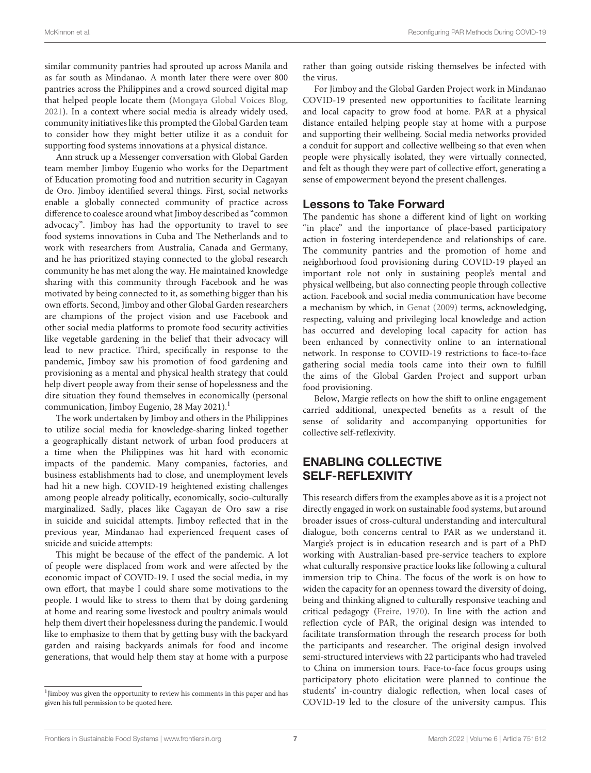similar community pantries had sprouted up across Manila and as far south as Mindanao. A month later there were over 800 pantries across the Philippines and a crowd sourced digital map that helped people locate them [\(Mongaya Global Voices Blog,](#page-9-20) [2021\)](#page-9-20). In a context where social media is already widely used, community initiatives like this prompted the Global Garden team to consider how they might better utilize it as a conduit for supporting food systems innovations at a physical distance.

Ann struck up a Messenger conversation with Global Garden team member Jimboy Eugenio who works for the Department of Education promoting food and nutrition security in Cagayan de Oro. Jimboy identified several things. First, social networks enable a globally connected community of practice across difference to coalesce around what Jimboy described as "common advocacy". Jimboy has had the opportunity to travel to see food systems innovations in Cuba and The Netherlands and to work with researchers from Australia, Canada and Germany, and he has prioritized staying connected to the global research community he has met along the way. He maintained knowledge sharing with this community through Facebook and he was motivated by being connected to it, as something bigger than his own efforts. Second, Jimboy and other Global Garden researchers are champions of the project vision and use Facebook and other social media platforms to promote food security activities like vegetable gardening in the belief that their advocacy will lead to new practice. Third, specifically in response to the pandemic, Jimboy saw his promotion of food gardening and provisioning as a mental and physical health strategy that could help divert people away from their sense of hopelessness and the dire situation they found themselves in economically (personal communication, Jimboy Eugenio, 28 May 202[1](#page-6-0)).<sup>1</sup>

The work undertaken by Jimboy and others in the Philippines to utilize social media for knowledge-sharing linked together a geographically distant network of urban food producers at a time when the Philippines was hit hard with economic impacts of the pandemic. Many companies, factories, and business establishments had to close, and unemployment levels had hit a new high. COVID-19 heightened existing challenges among people already politically, economically, socio-culturally marginalized. Sadly, places like Cagayan de Oro saw a rise in suicide and suicidal attempts. Jimboy reflected that in the previous year, Mindanao had experienced frequent cases of suicide and suicide attempts:

This might be because of the effect of the pandemic. A lot of people were displaced from work and were affected by the economic impact of COVID-19. I used the social media, in my own effort, that maybe I could share some motivations to the people. I would like to stress to them that by doing gardening at home and rearing some livestock and poultry animals would help them divert their hopelessness during the pandemic. I would like to emphasize to them that by getting busy with the backyard garden and raising backyards animals for food and income generations, that would help them stay at home with a purpose rather than going outside risking themselves be infected with the virus.

For Jimboy and the Global Garden Project work in Mindanao COVID-19 presented new opportunities to facilitate learning and local capacity to grow food at home. PAR at a physical distance entailed helping people stay at home with a purpose and supporting their wellbeing. Social media networks provided a conduit for support and collective wellbeing so that even when people were physically isolated, they were virtually connected, and felt as though they were part of collective effort, generating a sense of empowerment beyond the present challenges.

### Lessons to Take Forward

The pandemic has shone a different kind of light on working "in place" and the importance of place-based participatory action in fostering interdependence and relationships of care. The community pantries and the promotion of home and neighborhood food provisioning during COVID-19 played an important role not only in sustaining people's mental and physical wellbeing, but also connecting people through collective action. Facebook and social media communication have become a mechanism by which, in [Genat \(2009\)](#page-9-2) terms, acknowledging, respecting, valuing and privileging local knowledge and action has occurred and developing local capacity for action has been enhanced by connectivity online to an international network. In response to COVID-19 restrictions to face-to-face gathering social media tools came into their own to fulfill the aims of the Global Garden Project and support urban food provisioning.

Below, Margie reflects on how the shift to online engagement carried additional, unexpected benefits as a result of the sense of solidarity and accompanying opportunities for collective self-reflexivity.

# ENABLING COLLECTIVE SELF-REFLEXIVITY

This research differs from the examples above as it is a project not directly engaged in work on sustainable food systems, but around broader issues of cross-cultural understanding and intercultural dialogue, both concerns central to PAR as we understand it. Margie's project is in education research and is part of a PhD working with Australian-based pre-service teachers to explore what culturally responsive practice looks like following a cultural immersion trip to China. The focus of the work is on how to widen the capacity for an openness toward the diversity of doing, being and thinking aligned to culturally responsive teaching and critical pedagogy [\(Freire, 1970\)](#page-9-6). In line with the action and reflection cycle of PAR, the original design was intended to facilitate transformation through the research process for both the participants and researcher. The original design involved semi-structured interviews with 22 participants who had traveled to China on immersion tours. Face-to-face focus groups using participatory photo elicitation were planned to continue the students' in-country dialogic reflection, when local cases of COVID-19 led to the closure of the university campus. This

<span id="page-6-0"></span><sup>&</sup>lt;sup>1</sup>Jimboy was given the opportunity to review his comments in this paper and has given his full permission to be quoted here.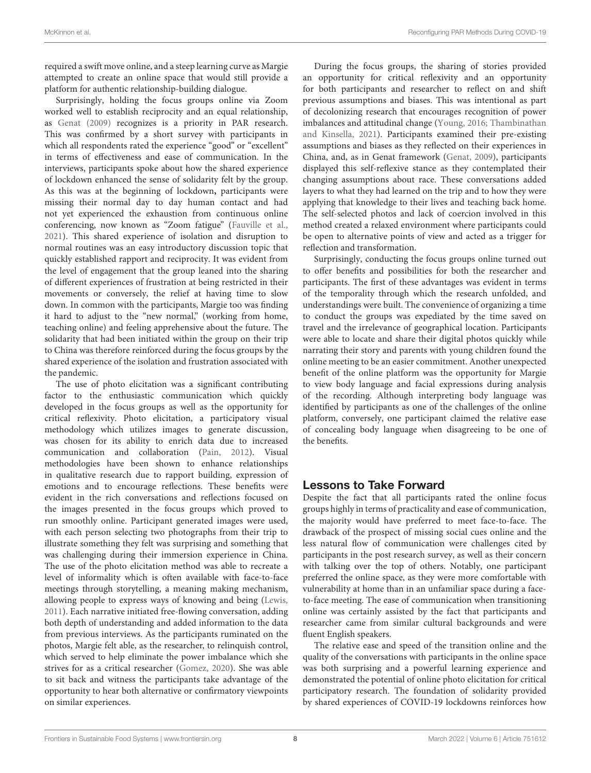required a swift move online, and a steep learning curve as Margie attempted to create an online space that would still provide a platform for authentic relationship-building dialogue.

Surprisingly, holding the focus groups online via Zoom worked well to establish reciprocity and an equal relationship, as [Genat \(2009\)](#page-9-2) recognizes is a priority in PAR research. This was confirmed by a short survey with participants in which all respondents rated the experience "good" or "excellent" in terms of effectiveness and ease of communication. In the interviews, participants spoke about how the shared experience of lockdown enhanced the sense of solidarity felt by the group. As this was at the beginning of lockdown**,** participants were missing their normal day to day human contact and had not yet experienced the exhaustion from continuous online conferencing, now known as "Zoom fatigue" [\(Fauville et al.,](#page-9-21) [2021\)](#page-9-21). This shared experience of isolation and disruption to normal routines was an easy introductory discussion topic that quickly established rapport and reciprocity. It was evident from the level of engagement that the group leaned into the sharing of different experiences of frustration at being restricted in their movements or conversely, the relief at having time to slow down. In common with the participants, Margie too was finding it hard to adjust to the "new normal," (working from home, teaching online) and feeling apprehensive about the future. The solidarity that had been initiated within the group on their trip to China was therefore reinforced during the focus groups by the shared experience of the isolation and frustration associated with the pandemic.

The use of photo elicitation was a significant contributing factor to the enthusiastic communication which quickly developed in the focus groups as well as the opportunity for critical reflexivity. Photo elicitation, a participatory visual methodology which utilizes images to generate discussion, was chosen for its ability to enrich data due to increased communication and collaboration [\(Pain, 2012\)](#page-9-22). Visual methodologies have been shown to enhance relationships in qualitative research due to rapport building, expression of emotions and to encourage reflections. These benefits were evident in the rich conversations and reflections focused on the images presented in the focus groups which proved to run smoothly online. Participant generated images were used, with each person selecting two photographs from their trip to illustrate something they felt was surprising and something that was challenging during their immersion experience in China. The use of the photo elicitation method was able to recreate a level of informality which is often available with face-to-face meetings through storytelling, a meaning making mechanism, allowing people to express ways of knowing and being [\(Lewis,](#page-9-23) [2011\)](#page-9-23). Each narrative initiated free-flowing conversation, adding both depth of understanding and added information to the data from previous interviews. As the participants ruminated on the photos, Margie felt able, as the researcher, to relinquish control, which served to help eliminate the power imbalance which she strives for as a critical researcher [\(Gomez, 2020\)](#page-9-24). She was able to sit back and witness the participants take advantage of the opportunity to hear both alternative or confirmatory viewpoints on similar experiences.

During the focus groups, the sharing of stories provided an opportunity for critical reflexivity and an opportunity for both participants and researcher to reflect on and shift previous assumptions and biases. This was intentional as part of decolonizing research that encourages recognition of power imbalances and attitudinal change [\(Young, 2016;](#page-10-4) Thambinathan and Kinsella, [2021\)](#page-10-5). Participants examined their pre-existing assumptions and biases as they reflected on their experiences in China, and, as in Genat framework [\(Genat, 2009\)](#page-9-2), participants displayed this self-reflexive stance as they contemplated their changing assumptions about race. These conversations added layers to what they had learned on the trip and to how they were applying that knowledge to their lives and teaching back home. The self-selected photos and lack of coercion involved in this method created a relaxed environment where participants could be open to alternative points of view and acted as a trigger for reflection and transformation.

Surprisingly, conducting the focus groups online turned out to offer benefits and possibilities for both the researcher and participants. The first of these advantages was evident in terms of the temporality through which the research unfolded, and understandings were built. The convenience of organizing a time to conduct the groups was expediated by the time saved on travel and the irrelevance of geographical location. Participants were able to locate and share their digital photos quickly while narrating their story and parents with young children found the online meeting to be an easier commitment. Another unexpected benefit of the online platform was the opportunity for Margie to view body language and facial expressions during analysis of the recording. Although interpreting body language was identified by participants as one of the challenges of the online platform, conversely, one participant claimed the relative ease of concealing body language when disagreeing to be one of the benefits.

# Lessons to Take Forward

Despite the fact that all participants rated the online focus groups highly in terms of practicality and ease of communication, the majority would have preferred to meet face-to-face. The drawback of the prospect of missing social cues online and the less natural flow of communication were challenges cited by participants in the post research survey, as well as their concern with talking over the top of others. Notably, one participant preferred the online space, as they were more comfortable with vulnerability at home than in an unfamiliar space during a faceto-face meeting. The ease of communication when transitioning online was certainly assisted by the fact that participants and researcher came from similar cultural backgrounds and were fluent English speakers.

The relative ease and speed of the transition online and the quality of the conversations with participants in the online space was both surprising and a powerful learning experience and demonstrated the potential of online photo elicitation for critical participatory research. The foundation of solidarity provided by shared experiences of COVID-19 lockdowns reinforces how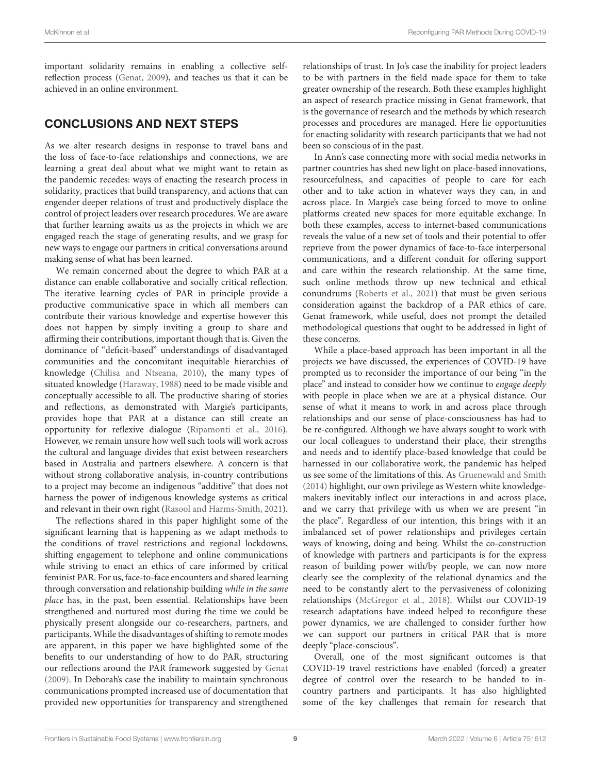important solidarity remains in enabling a collective selfreflection process [\(Genat, 2009\)](#page-9-2), and teaches us that it can be achieved in an online environment.

# CONCLUSIONS AND NEXT STEPS

As we alter research designs in response to travel bans and the loss of face-to-face relationships and connections, we are learning a great deal about what we might want to retain as the pandemic recedes: ways of enacting the research process in solidarity, practices that build transparency, and actions that can engender deeper relations of trust and productively displace the control of project leaders over research procedures. We are aware that further learning awaits us as the projects in which we are engaged reach the stage of generating results, and we grasp for new ways to engage our partners in critical conversations around making sense of what has been learned.

We remain concerned about the degree to which PAR at a distance can enable collaborative and socially critical reflection. The iterative learning cycles of PAR in principle provide a productive communicative space in which all members can contribute their various knowledge and expertise however this does not happen by simply inviting a group to share and affirming their contributions, important though that is. Given the dominance of "deficit-based" understandings of disadvantaged communities and the concomitant inequitable hierarchies of knowledge [\(Chilisa and Ntseana, 2010\)](#page-9-25), the many types of situated knowledge [\(Haraway, 1988\)](#page-9-26) need to be made visible and conceptually accessible to all. The productive sharing of stories and reflections, as demonstrated with Margie's participants, provides hope that PAR at a distance can still create an opportunity for reflexive dialogue [\(Ripamonti et al., 2016\)](#page-10-6). However, we remain unsure how well such tools will work across the cultural and language divides that exist between researchers based in Australia and partners elsewhere. A concern is that without strong collaborative analysis, in-country contributions to a project may become an indigenous "additive" that does not harness the power of indigenous knowledge systems as critical and relevant in their own right [\(Rasool and Harms-Smith, 2021\)](#page-10-7).

The reflections shared in this paper highlight some of the significant learning that is happening as we adapt methods to the conditions of travel restrictions and regional lockdowns, shifting engagement to telephone and online communications while striving to enact an ethics of care informed by critical feminist PAR. For us, face-to-face encounters and shared learning through conversation and relationship building while in the same place has, in the past, been essential. Relationships have been strengthened and nurtured most during the time we could be physically present alongside our co-researchers, partners, and participants. While the disadvantages of shifting to remote modes are apparent, in this paper we have highlighted some of the benefits to our understanding of how to do PAR, structuring our reflections around the PAR framework suggested by [Genat](#page-9-2) [\(2009\)](#page-9-2). In Deborah's case the inability to maintain synchronous communications prompted increased use of documentation that provided new opportunities for transparency and strengthened

relationships of trust. In Jo's case the inability for project leaders to be with partners in the field made space for them to take greater ownership of the research. Both these examples highlight an aspect of research practice missing in Genat framework, that is the governance of research and the methods by which research processes and procedures are managed. Here lie opportunities for enacting solidarity with research participants that we had not been so conscious of in the past.

In Ann's case connecting more with social media networks in partner countries has shed new light on place-based innovations, resourcefulness, and capacities of people to care for each other and to take action in whatever ways they can, in and across place. In Margie's case being forced to move to online platforms created new spaces for more equitable exchange. In both these examples, access to internet-based communications reveals the value of a new set of tools and their potential to offer reprieve from the power dynamics of face-to-face interpersonal communications, and a different conduit for offering support and care within the research relationship. At the same time, such online methods throw up new technical and ethical conundrums [\(Roberts et al., 2021\)](#page-10-8) that must be given serious consideration against the backdrop of a PAR ethics of care. Genat framework, while useful, does not prompt the detailed methodological questions that ought to be addressed in light of these concerns.

While a place-based approach has been important in all the projects we have discussed, the experiences of COVID-19 have prompted us to reconsider the importance of our being "in the place" and instead to consider how we continue to engage deeply with people in place when we are at a physical distance. Our sense of what it means to work in and across place through relationships and our sense of place-consciousness has had to be re-configured. Although we have always sought to work with our local colleagues to understand their place, their strengths and needs and to identify place-based knowledge that could be harnessed in our collaborative work, the pandemic has helped us see some of the limitations of this. As [Gruenewald and Smith](#page-9-3) [\(2014\)](#page-9-3) highlight, our own privilege as Western white knowledgemakers inevitably inflect our interactions in and across place, and we carry that privilege with us when we are present "in the place". Regardless of our intention, this brings with it an imbalanced set of power relationships and privileges certain ways of knowing, doing and being. Whilst the co-construction of knowledge with partners and participants is for the express reason of building power with/by people, we can now more clearly see the complexity of the relational dynamics and the need to be constantly alert to the pervasiveness of colonizing relationships [\(McGregor et al., 2018\)](#page-9-27). Whilst our COVID-19 research adaptations have indeed helped to reconfigure these power dynamics, we are challenged to consider further how we can support our partners in critical PAR that is more deeply "place-conscious".

Overall, one of the most significant outcomes is that COVID-19 travel restrictions have enabled (forced) a greater degree of control over the research to be handed to incountry partners and participants. It has also highlighted some of the key challenges that remain for research that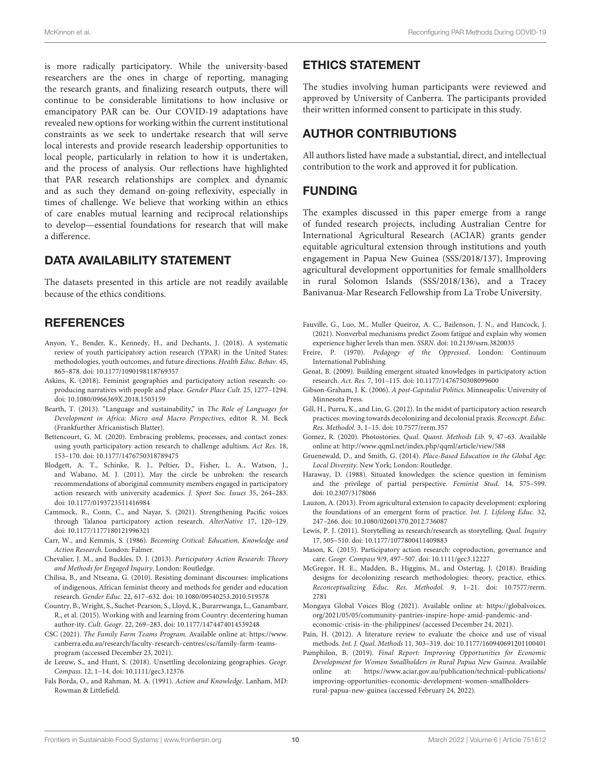is more radically participatory. While the university-based researchers are the ones in charge of reporting, managing the research grants, and finalizing research outputs, there will continue to be considerable limitations to how inclusive or emancipatory PAR can be. Our COVID-19 adaptations have revealed new options for working within the current institutional constraints as we seek to undertake research that will serve local interests and provide research leadership opportunities to local people, particularly in relation to how it is undertaken, and the process of analysis. Our reflections have highlighted that PAR research relationships are complex and dynamic and as such they demand on-going reflexivity, especially in times of challenge. We believe that working within an ethics of care enables mutual learning and reciprocal relationships to develop—essential foundations for research that will make a difference.

### DATA AVAILABILITY STATEMENT

The datasets presented in this article are not readily available because of the ethics conditions.

### **REFERENCES**

- <span id="page-9-18"></span>Anyon, Y., Bender, K., Kennedy, H., and Dechants, J. (2018). A systematic review of youth participatory action research (YPAR) in the United States: methodologies, youth outcomes, and future directions. Health Educ. Behav. 45, 865–878. doi: [10.1177/1090198118769357](https://doi.org/10.1177/1090198118769357)
- <span id="page-9-11"></span>Askins, K. (2018). Feminist geographies and participatory action research: coproducing narratives with people and place. Gender Place Cult. 25, 1277–1294. doi: [10.1080/0966369X.2018.1503159](https://doi.org/10.1080/0966369X.2018.1503159)
- <span id="page-9-17"></span>Bearth, T. (2013). "Language and sustainability," in The Role of Languages for Development in Africa: Micro and Macro Perspectives, editor R. M. Beck (Frankfurther Africanistisch Blatter).
- <span id="page-9-19"></span>Bettencourt, G. M. (2020). Embracing problems, processes, and contact zones: using youth participatory action research to challenge adultism. Act Res. 18, 153–170. doi: [10.1177/1476750318789475](https://doi.org/10.1177/1476750318789475)
- <span id="page-9-14"></span>Blodgett, A. T., Schinke, R. J., Peltier, D., Fisher, L. A., Watson, J., and Wabano, M. J. (2011). May the circle be unbroken: the research recommendations of aboriginal community members engaged in participatory action research with university academics. J. Sport Soc. Issues 35, 264–283. doi: [10.1177/0193723511416984](https://doi.org/10.1177/0193723511416984)
- <span id="page-9-13"></span>Cammock, R., Conn, C., and Nayar, S. (2021). Strengthening Pacific voices through Talanoa participatory action research. AlterNative 17, 120–129. doi: [10.1177/1177180121996321](https://doi.org/10.1177/1177180121996321)
- <span id="page-9-8"></span>Carr, W., and Kemmis, S. (1986). Becoming Critical: Education, Knowledge and Action Research. London: Falmer.
- <span id="page-9-9"></span>Chevalier, J. M., and Buckles, D. J. (2013). Participatory Action Research: Theory and Methods for Engaged Inquiry. London: Routledge.
- <span id="page-9-25"></span>Chilisa, B., and Ntseana, G. (2010). Resisting dominant discourses: implications of indigenous, African feminist theory and methods for gender and education research. Gender Educ. 22, 617–632. doi: [10.1080/09540253.2010.519578](https://doi.org/10.1080/09540253.2010.519578)
- <span id="page-9-4"></span>Country, B., Wright, S., Suchet-Pearson, S., Lloyd, K., Burarrwanga, L., Ganambarr, R., et al. (2015). Working with and learning from Country: decentering human author-ity. Cult. Geogr. 22, 269–283. doi: [10.1177/1474474014539248](https://doi.org/10.1177/1474474014539248)
- <span id="page-9-16"></span>CSC (2021). The Family Farm Teams Program. Available online at: [https://www.](https://www.canberra.edu.au/research/faculty-research-centres/csc/family-farm-teams-program) [canberra.edu.au/research/faculty-research-centres/csc/family-farm-teams](https://www.canberra.edu.au/research/faculty-research-centres/csc/family-farm-teams-program)[program](https://www.canberra.edu.au/research/faculty-research-centres/csc/family-farm-teams-program) (accessed December 23, 2021).
- <span id="page-9-12"></span>de Leeuw, S., and Hunt, S. (2018). Unsettling decolonizing geographies. Geogr. Compass. 12, 1–14. doi: [10.1111/gec3.12376](https://doi.org/10.1111/gec3.12376)
- <span id="page-9-7"></span>Fals Borda, O., and Rahman, M. A. (1991). Action and Knowledge. Lanham, MD: Rowman & Littlefield.

#### ETHICS STATEMENT

The studies involving human participants were reviewed and approved by University of Canberra. The participants provided their written informed consent to participate in this study.

# AUTHOR CONTRIBUTIONS

All authors listed have made a substantial, direct, and intellectual contribution to the work and approved it for publication.

#### FUNDING

The examples discussed in this paper emerge from a range of funded research projects, including Australian Centre for International Agricultural Research (ACIAR) grants gender equitable agricultural extension through institutions and youth engagement in Papua New Guinea (SSS/2018/137), Improving agricultural development opportunities for female smallholders in rural Solomon Islands (SSS/2018/136), and a Tracey Banivanua-Mar Research Fellowship from La Trobe University.

- <span id="page-9-21"></span>Fauville, G., Luo, M., Muller Queiroz, A. C., Bailenson, J. N., and Hancock, J. (2021). Nonverbal mechanisms predict Zoom fatigue and explain why women experience higher levels than men. SSRN. doi: [10.2139/ssrn.3820035](https://doi.org/10.2139/ssrn.3820035)
- <span id="page-9-6"></span>Freire, P. (1970). Pedagogy of the Oppressed. London: Continuum International Publishing
- <span id="page-9-2"></span>Genat, B. (2009). Building emergent situated knowledges in participatory action research. Act. Res. 7, 101–115. doi: [10.1177/1476750308099600](https://doi.org/10.1177/1476750308099600)
- <span id="page-9-10"></span>Gibson-Graham, J. K. (2006). A post-Capitalist Politics. Minneapolis: University of Minnesota Press.
- <span id="page-9-0"></span>Gill, H., Purru, K., and Lin, G. (2012). In the midst of participatory action research practices: moving towards decolonizing and decolonial praxis. Reconcept. Educ. Res. Methodol. 3, 1–15. doi: [10.7577/rerm.357](https://doi.org/10.7577/rerm.357)
- <span id="page-9-24"></span>Gomez, R. (2020). Photostories. Qual. Quant. Methods Lib. 9, 47–63. Available online at:<http://www.qqml.net/index.php/qqml/article/view/588>
- <span id="page-9-3"></span>Gruenewald, D., and Smith, G. (2014). Place-Based Education in the Global Age: Local Diversity. New York; London: Routledge.
- <span id="page-9-26"></span>Haraway, D. (1988). Situated knowledges: the science question in feminism and the privilege of partial perspective. Feminist Stud. 14, 575–599. doi: [10.2307/3178066](https://doi.org/10.2307/3178066)
- <span id="page-9-1"></span>Lauzon, A. (2013). From agricultural extension to capacity development: exploring the foundations of an emergent form of practice. Int. J. Lifelong Educ. 32, 247–266. doi: [10.1080/02601370.2012.736087](https://doi.org/10.1080/02601370.2012.736087)
- <span id="page-9-23"></span>Lewis, P. J. (2011). Storytelling as research/research as storytelling. Qual. Inquiry 17, 505–510. doi: [10.1177/1077800411409883](https://doi.org/10.1177/1077800411409883)
- <span id="page-9-5"></span>Mason, K. (2015). Participatory action research: coproduction, governance and care. Geogr. Compass 9/9, 497–507. doi: [10.1111/gec3.12227](https://doi.org/10.1111/gec3.12227)
- <span id="page-9-27"></span>McGregor, H. E., Madden, B., Higgins, M., and Ostertag, J. (2018). Braiding designs for decolonizing research methodologies: theory, practice, ethics. [Reconceptualizing Educ. Res. Methodol.](https://doi.org/10.7577/rerm.2781) 9, 1–21. doi: 10.7577/rerm. 2781
- <span id="page-9-20"></span>Mongaya Global Voices Blog (2021). Available online at: [https://globalvoices.](https://globalvoices.org/2021/05/05/community-pantries-inspire-hope-amid-pandemic-and-economic-crisis-in-the-philippines/) [org/2021/05/05/community-pantries-inspire-hope-amid-pandemic-and](https://globalvoices.org/2021/05/05/community-pantries-inspire-hope-amid-pandemic-and-economic-crisis-in-the-philippines/)[economic-crisis-in-the-philippines/](https://globalvoices.org/2021/05/05/community-pantries-inspire-hope-amid-pandemic-and-economic-crisis-in-the-philippines/) (accessed December 24, 2021).
- <span id="page-9-22"></span>Pain, H. (2012). A literature review to evaluate the choice and use of visual methods. Int. J. Qual. Methods 11, 303–319. doi: [10.1177/160940691201100401](https://doi.org/10.1177/160940691201100401)
- <span id="page-9-15"></span>Pamphilon, B. (2019). Final Report: Improving Opportunities for Economic Development for Women Smallholders in Rural Papua New Guinea. Available online at: [https://www.aciar.gov.au/publication/technical-publications/](https://www.aciar.gov.au/publication/technical-publications/improving-opportunities-economic-development-women-smallholders-rural-papua-new-guinea) [improving-opportunities-economic-development-women-smallholders](https://www.aciar.gov.au/publication/technical-publications/improving-opportunities-economic-development-women-smallholders-rural-papua-new-guinea)[rural-papua-new-guinea](https://www.aciar.gov.au/publication/technical-publications/improving-opportunities-economic-development-women-smallholders-rural-papua-new-guinea) (accessed February 24, 2022).